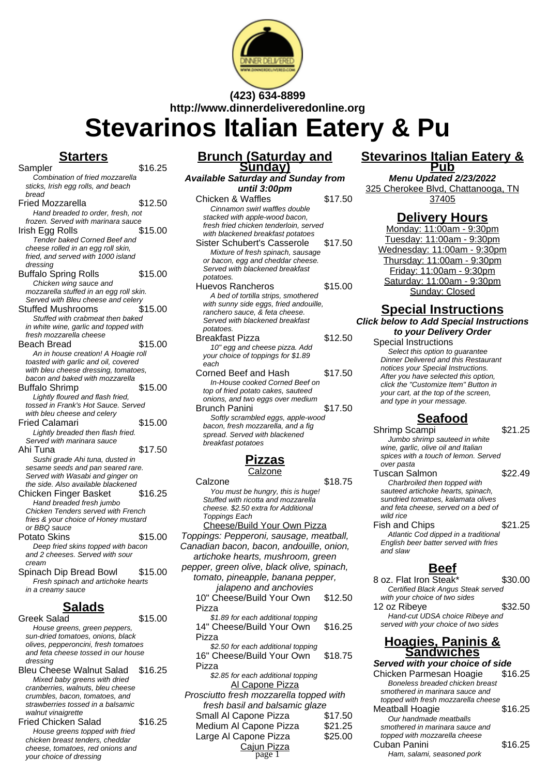

**(423) 634-8899 http://www.dinnerdeliveredonline.org**

# **Stevarinos Italian Eatery & Pu**

#### **Starters**

- $S$ ampler  $\overline{\hspace{1.5cm}16.25}$ Combination of fried mozzarella sticks, Irish egg rolls, and beach bread Fried Mozzarella \$12.50 Hand breaded to order, fresh, not frozen. Served with marinara sauce Irish Egg Rolls Tender baked Corned Beef and cheese rolled in an egg roll skin, fried, and served with 1000 island dressing Buffalo Spring Rolls \$15.00 Chicken wing sauce and mozzarella stuffed in an egg roll skin. Served with Bleu cheese and celerv Stuffed Mushrooms \$15.00 Stuffed with crabmeat then baked in white wine, garlic and topped with fresh mozzarella cheese Beach Bread \$15.00 An in house creation! A Hoagie roll toasted with garlic and oil, covered with bleu cheese dressing, tomatoes, bacon and baked with mozzarella Buffalo Shrimp \$15.00 Lightly floured and flash fried, tossed in Frank's Hot Sauce. Served with bleu cheese and celery Fried Calamari \$15.00 Lightly breaded then flash fried. Served with marinara sauce Ahi Tuna  $$17.50$ Sushi grade Ahi tuna, dusted in sesame seeds and pan seared rare. Served with Wasabi and ginger on the side. Also available blackened Chicken Finger Basket \$16.25 Hand breaded fresh jumbo Chicken Tenders served with French fries & your choice of Honey mustard or BBQ sauce Potato Skins \$15.00 Deep fried skins topped with bacon and 2 cheeses. Served with sour cream Spinach Dip Bread Bowl \$15.00
- Fresh spinach and artichoke hearts in a creamy sauce

## **Salads**

Greek Salad \$15.00 House greens, green peppers, sun-dried tomatoes, onions, black olives, pepperoncini, fresh tomatoes and feta cheese tossed in our house dressing

Bleu Cheese Walnut Salad \$16.25 Mixed baby greens with dried cranberries, walnuts, bleu cheese crumbles, bacon, tomatoes, and strawberries tossed in a balsamic walnut vinaigrette

Fried Chicken Salad \$16.25 House greens topped with fried chicken breast tenders, cheddar cheese, tomatoes, red onions and your choice of dressing

#### **Brunch (Saturday and Sunday)**

**Available Saturday and Sunday from until 3:00pm**

- Chicken & Waffles \$17.50 Cinnamon swirl waffles double stacked with apple-wood bacon, fresh fried chicken tenderloin, served with blackened breakfast potatoes Sister Schubert's Casserole \$17.50 Mixture of fresh spinach, sausage or bacon, egg and cheddar cheese. Served with blackened breakfast potatoes. Huevos Rancheros \$15.00 A bed of tortilla strips, smothered with sunny side eggs, fried andouille, ranchero sauce, & feta cheese. Served with blackened breakfast potatoes. Breakfast Pizza \$12.50 10" egg and cheese pizza. Add your choice of toppings for \$1.89 each Corned Beef and Hash \$17.50 In-House cooked Corned Beef on
- top of fried potato cakes, sauteed onions, and two eggs over medium Brunch Panini \$17.50
- Softly scrambled eggs, apple-wood bacon, fresh mozzarella, and a fig spread. Served with blackened breakfast potatoes

# **Pizzas**

**Calzone** 

Calzone \$18.75 You must be hungry, this is huge! Stuffed with ricotta and mozzarella cheese. \$2.50 extra for Additional Toppings Each Cheese/Build Your Own Pizza Toppings: Pepperoni, sausage, meatball, Canadian bacon, bacon, andouille, onion, artichoke hearts, mushroom, green pepper, green olive, black olive, spinach, tomato, pineapple, banana pepper, jalapeno and anchovies 10" Cheese/Build Your Own Pizza \$12.50 \$1.89 for each additional topping 14" Cheese/Build Your Own Pizza \$16.25 \$2.50 for each additional topping 16" Cheese/Build Your Own Pizza \$18.75 \$2.85 for each additional topping Al Capone Pizza Prosciutto fresh mozzarella topped with fresh basil and balsamic glaze Small Al Capone Pizza \$17.50 Medium Al Capone Pizza \$21.25 Large Al Capone Pizza \$25.00

# Cajun Pizza

#### **Stevarinos Italian Eatery & Pub**

**Menu Updated 2/23/2022** 325 Cherokee Blvd, Chattanooga, TN 37405

#### **Delivery Hours**

Monday: 11:00am - 9:30pm Tuesday: 11:00am - 9:30pm Wednesday: 11:00am - 9:30pm Thursday: 11:00am - 9:30pm Friday: 11:00am - 9:30pm Saturday: 11:00am - 9:30pm Sunday: Closed

#### **Special Instructions Click below to Add Special Instructions**

**to your Delivery Order** Special Instructions

Select this option to quarantee Dinner Delivered and this Restaurant notices your Special Instructions. After you have selected this option, click the "Customize Item" Button in your cart, at the top of the screen, and type in your message.

#### **Seafood**

Shrimp Scampi \$21.25

Jumbo shrimp sauteed in white wine, garlic, olive oil and Italian spices with a touch of lemon. Served over pasta Tuscan Salmon \$22.49

Charbroiled then topped with sauteed artichoke hearts, spinach, sundried tomatoes, kalamata olives and feta cheese, served on a bed of wild rice

Fish and Chips \$21.25 Atlantic Cod dipped in a traditional English beer batter served with fries and slaw

### **Beef**

8 oz. Flat Iron Steak\* \$30.00 Certified Black Angus Steak served with your choice of two sides 12 oz Ribeye \$32.50 Hand-cut UDSA choice Ribeye and served with your choice of two sides

#### **Hoagies, Paninis & Sandwiches**

**Served with your choice of side** Chicken Parmesan Hoagie \$16.25 Boneless breaded chicken breast smothered in marinara sauce and topped with fresh mozzarella cheese Meatball Hoagie \$16.25 Our handmade meatballs smothered in marinara sauce and topped with mozzarella cheese Cuban Panini  $$16.25$ Ham, salami, seasoned pork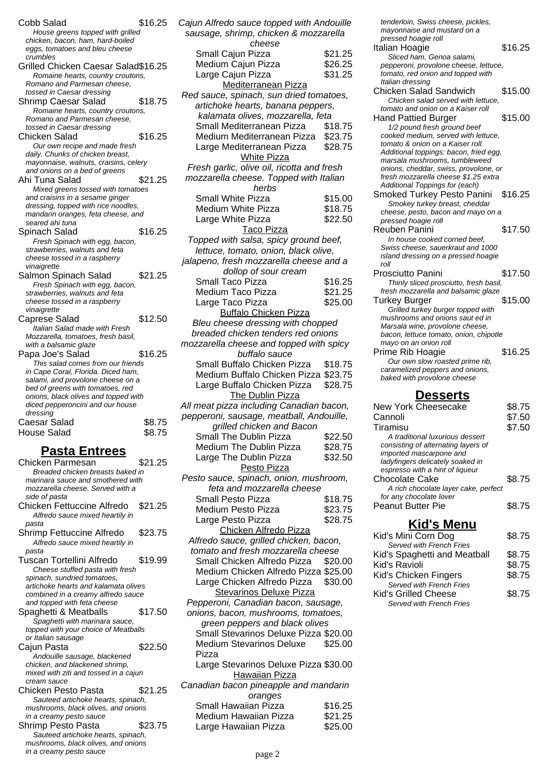| Cobb Salad                            | \$16.25 |
|---------------------------------------|---------|
| House greens topped with grilled      |         |
| chicken, bacon, ham, hard-boiled      |         |
| eggs, tomatoes and bleu cheese        |         |
| crumbles                              |         |
| Grilled Chicken Caesar Salad\$16.25   |         |
| Romaine hearts, country croutons,     |         |
| Romano and Parmesan cheese,           |         |
| tossed in Caesar dressing             |         |
| Shrimp Caesar Salad                   | \$18.75 |
| Romaine hearts, country croutons,     |         |
| Romano and Parmesan cheese,           |         |
| tossed in Caesar dressing             |         |
| <b>Chicken Salad</b>                  | \$16.25 |
| Our own recipe and made fresh         |         |
| daily. Chunks of chicken breast,      |         |
| mayonnaise, walnuts, craisins, celery |         |
| and onions on a bed of greens         |         |
|                                       |         |
| Ahi Tuna Salad                        | \$21.25 |
| Mixed greens tossed with tomatoes     |         |
| and craisins in a sesame ginger       |         |
| dressing, topped with rice noodles,   |         |
| mandarin oranges, feta cheese, and    |         |
| seared ahi tuna                       |         |
| Spinach Salad                         | \$16.25 |
| Fresh Spinach with egg, bacon,        |         |
| strawberries, walnuts and feta        |         |
| cheese tossed in a raspberry          |         |
| vinaigrette                           |         |
| Salmon Spinach Salad                  | \$21.25 |
| Fresh Spinach with egg, bacon,        |         |
| strawberries, walnuts and feta        |         |
| cheese tossed in a raspberry          |         |
| vinaigrette                           |         |
| Caprese Salad                         | \$12.50 |
| Italian Salad made with Fresh         |         |
| Mozzarella, tomatoes, fresh basil,    |         |
| with a balsamic glaze                 |         |
| Papa Joe's Salad                      | \$16.25 |
| This salad comes from our friends     |         |
| in Cape Coral, Florida. Diced ham,    |         |
| salami, and provolone cheese on a     |         |
| bed of greens with tomatoes, red      |         |
| onions, black olives and topped with  |         |
| diced pepperoncini and our house      |         |
| dressing                              |         |
| Caesar Salad                          | \$8.75  |
| <b>House Salad</b>                    | \$8.75  |
|                                       |         |
| <u> Pasta Entrees</u>                 |         |
| Chicken Parmesan                      | \$21.25 |
|                                       |         |

Breaded chicken breasts baked in marinara sauce and smothered with mozzarella cheese. Served with a side of pasta Chicken Fettuccine Alfredo \$21.25 Alfredo sauce mixed heartily in pasta Shrimp Fettuccine Alfredo \$23.75 Alfredo sauce mixed heartily in pasta Tuscan Tortellini Alfredo \$19.99 Cheese stuffed pasta with fresh spinach, sundried tomatoes, artichoke hearts and kalamata olives combined in a creamy alfredo sauce and topped with feta cheese Spaghetti & Meatballs \$17.50 Spaghetti with marinara sauce, topped with your choice of Meatballs or Italian sausage Cajun Pasta \$22.50 Andouille sausage, blackened chicken, and blackened shrimp, mixed with ziti and tossed in a cajun cream sauce Chicken Pesto Pasta \$21.25 Sauteed artichoke hearts, spinach, mushrooms, black olives, and onions in a creamy pesto sauce Shrimp Pesto Pasta \$23.75 Sauteed artichoke hearts, spinach, mushrooms, black olives, and onions in a creamy pesto sauce

| Cajun Alfredo sauce topped with Andouille                       |                    |  |
|-----------------------------------------------------------------|--------------------|--|
| sausage, shrimp, chicken & mozzarella                           |                    |  |
| cheese                                                          |                    |  |
| Small Cajun Pizza                                               | \$21.25            |  |
| Medium Cajun Pizza                                              | \$26.25            |  |
| Large Cajun Pizza                                               | \$31.25            |  |
| <b>Mediterranean Pizza</b>                                      |                    |  |
| Red sauce, spinach, sun dried tomatoes,                         |                    |  |
| artichoke hearts, banana peppers,                               |                    |  |
| kalamata olives, mozzarella, feta                               |                    |  |
| Small Mediterranean Pizza<br>Medium Mediterranean Pizza \$23.75 | \$18.75            |  |
| Large Mediterranean Pizza                                       | \$28.75            |  |
| <b>White Pizza</b>                                              |                    |  |
| Fresh garlic, olive oil, ricotta and fresh                      |                    |  |
| mozzarella cheese. Topped with Italian                          |                    |  |
| herbs                                                           |                    |  |
| Small White Pizza                                               | \$15.00            |  |
| Medium White Pizza                                              | \$18.75            |  |
| Large White Pizza                                               | \$22.50            |  |
| Taco Pizza                                                      |                    |  |
| Topped with salsa, spicy ground beef,                           |                    |  |
| lettuce, tomato, onion, black olive,                            |                    |  |
| jalapeno, fresh mozzarella cheese and a                         |                    |  |
| dollop of sour cream                                            |                    |  |
| Small Taco Pizza                                                | \$16.25            |  |
| <b>Medium Taco Pizza</b>                                        | \$21.25            |  |
| Large Taco Pizza                                                | \$25.00            |  |
| <b>Buffalo Chicken Pizza</b>                                    |                    |  |
| Bleu cheese dressing with chopped                               |                    |  |
| breaded chicken tenders red onions                              |                    |  |
| mozzarella cheese and topped with spicy                         |                    |  |
| buffalo sauce                                                   |                    |  |
| Small Buffalo Chicken Pizza                                     | \$18.75            |  |
| Medium Buffalo Chicken Pizza \$23.75                            |                    |  |
| Large Buffalo Chicken Pizza                                     | \$28.75            |  |
| The Dublin Pizza                                                |                    |  |
| All meat pizza including Canadian bacon,                        |                    |  |
| pepperoni, sausage, meatball, Andouille,                        |                    |  |
| grilled chicken and Bacon<br>Small The Dublin Pizza             | \$22.50            |  |
| <b>Medium The Dublin Pizza</b>                                  | \$28.75            |  |
| Large The Dublin Pizza                                          | \$32.50            |  |
| Pesto Pizza                                                     |                    |  |
| Pesto sauce, spinach, onion, mushroom,                          |                    |  |
| feta and mozzarella cheese                                      |                    |  |
| Small Pesto Pizza                                               | \$18.75            |  |
| Medium Pesto Pizza                                              | \$23.75            |  |
| Large Pesto Pizza                                               | \$28.75            |  |
| Chicken Alfredo Pizza                                           |                    |  |
| Alfredo sauce, grilled chicken, bacon,                          |                    |  |
| tomato and fresh mozzarella cheese                              |                    |  |
| Small Chicken Alfredo Pizza                                     |                    |  |
| Medium Chicken Alfredo Pizza \$25.00                            | \$20.00            |  |
|                                                                 |                    |  |
| Large Chicken Alfredo Pizza                                     | \$30.00            |  |
| <b>Stevarinos Deluxe Pizza</b>                                  |                    |  |
| Pepperoni, Canadian bacon, sausage,                             |                    |  |
| onions, bacon, mushrooms, tomatoes,                             |                    |  |
| green peppers and black olives                                  |                    |  |
| Small Stevarinos Deluxe Pizza \$20.00                           |                    |  |
| <b>Medium Stevarinos Deluxe</b>                                 | \$25.00            |  |
| Pizza                                                           |                    |  |
| Large Stevarinos Deluxe Pizza \$30.00                           |                    |  |
| <b>Hawaiian Pizza</b>                                           |                    |  |
| Canadian bacon pineapple and mandarin                           |                    |  |
| oranges                                                         |                    |  |
| Small Hawaiian Pizza                                            | \$16.25            |  |
| Medium Hawaiian Pizza<br>Large Hawaiian Pizza                   | \$21.25<br>\$25.00 |  |

tenderloin, Swiss cheese, pickles, mayonnaise and mustard on a pressed hoagie roll Italian Hoagie **\$16.25** Sliced ham, Genoa salami, pepperoni, provolone cheese, lettuce, tomato, red onion and topped with Italian dressing Chicken Salad Sandwich \$15.00 Chicken salad served with lettuce, tomato and onion on a Kaiser roll Hand Pattied Burger \$15.00 1/2 pound fresh ground beef cooked medium, served with lettuce, tomato & onion on a Kaiser roll. Additional toppings: bacon, fried egg, marsala mushrooms, tumbleweed onions, cheddar, swiss, provolone, or fresh mozzarella cheese \$1.25 extra Additional Toppings for (each) Smoked Turkey Pesto Panini \$16.25 Smokey turkey breast, cheddar cheese, pesto, bacon and mayo on a pressed hoagie roll Reuben Panini \$17.50 In house cooked corned beef, Swiss cheese, sauerkraut and 1000 island dressing on a pressed hoagie roll Prosciutto Panini  $$17.50$ Thinly sliced prosciutto, fresh basil, fresh mozzarella and balsamic glaze Turkey Burger \$15.00 Grilled turkey burger topped with mushrooms and onions saut ed in Marsala wine, provolone cheese, bacon, lettuce tomato, onion, chipotle mayo on an onion roll Prime Rib Hoagie \$16.25 Our own slow roasted prime rib, caramelized peppers and onions, baked with provolone cheese

#### **Desserts**

| New York Cheesecake                                                                                                                                                      | \$8.75 |
|--------------------------------------------------------------------------------------------------------------------------------------------------------------------------|--------|
| Cannoli                                                                                                                                                                  | \$7.50 |
| Tiramisu                                                                                                                                                                 | \$7.50 |
| A traditional luxurious dessert<br>consisting of alternating layers of<br>imported mascarpone and<br>ladyfingers delicately soaked in<br>espresso with a hint of liqueur |        |
| Chocolate Cake<br>A rich chocolate layer cake, perfect<br>for any chocolate lover                                                                                        | \$8.75 |
| <b>Peanut Butter Pie</b>                                                                                                                                                 | \$8.75 |

#### **Kid's Menu**

| Kid's Mini Corn Dog          | \$8.75 |
|------------------------------|--------|
| Served with French Fries     |        |
| Kid's Spaghetti and Meatball | \$8.75 |
| Kid's Ravioli                | \$8.75 |
| Kid's Chicken Fingers        | \$8.75 |
| Served with French Fries     |        |
| Kid's Grilled Cheese         | \$8.75 |
| Served with French Fries     |        |